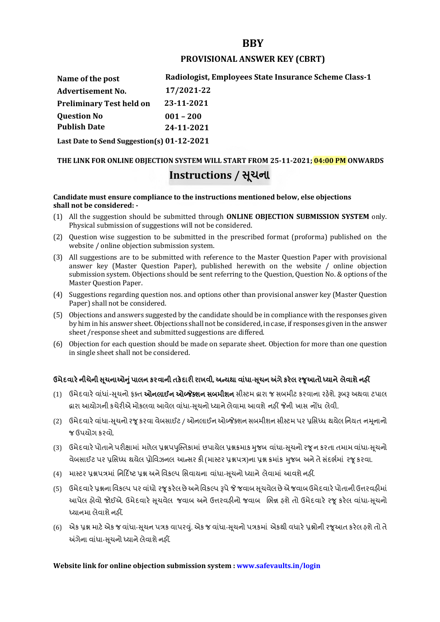## **BBY**

### **PROVISIONAL ANSWER KEY (CBRT)**

**Name of the post Advertisement No. Question No Radiologist, Employees State Insurance Scheme Class-1 17/2021-22 Preliminary Test held on 23-11-2021 Publish Date 001 – 200 24-11-2021 Last Date to Send Suggestion(s) 01-12-2021**

# **THE LINK FOR ONLINE OBJECTION SYSTEM WILL START FROM 25-11-2021; 04:00 PM ONWARDS Instructions / Ʌચના ૂ**

#### **Candidate must ensure compliance to the instructions mentioned below, else objections shall not be considered: -**

- (1) All the suggestion should be submitted through **ONLINE OBJECTION SUBMISSION SYSTEM** only. Physical submission of suggestions will not be considered.
- (2) Question wise suggestion to be submitted in the prescribed format (proforma) published on the website / online objection submission system.
- (3) All suggestions are to be submitted with reference to the Master Question Paper with provisional answer key (Master Question Paper), published herewith on the website / online objection submission system. Objections should be sent referring to the Question, Question No. & options of the Master Question Paper.
- (4) Suggestions regarding question nos. and options other than provisional answer key (Master Question Paper) shall not be considered.
- (5) Objections and answers suggested by the candidate should be in compliance with the responses given by him in his answer sheet. Objections shall not be considered, in case, if responses given in the answer sheet /response sheet and submitted suggestions are differed.
- (6) Objection for each question should be made on separate sheet. Objection for more than one question in single sheet shall not be considered.

## **ઉમેદવાર°નીચેની Ʌ ૂચનાઓȵુંપાલન કરવાની તક°દાર રાખવી, અƛયથા વા ંધા-Ʌ ૂચન Ӕગેકર°લ રȩૂઆતો ƚયાને લેવાશેનહӄ**

- (1) ઉમેદવારે વાંધાં-સુચનો ફક્ત **ઓનલાઈન ઓબ્જેક્શન સબમીશન** સીસ્ટમ હ્રારા જ સબમીટ કરવાના રહેશે. રૂબરૂ અથવા ટપાલ દ્વારા આયોગની કચેરીએ મોકલવા આવેલ વાંધા-સૂચનો ધ્યાને લેવામા આવશે નહીં જેની ખાસ નોંધ લેવી.
- (2) ઉમેદવારે વાંધા-સચનો રજ કરવા વેબસાઈટ / ઓનલાઈન ઓબ્જેક્શન સબમીશન સીસ્ટમ પર પ્રસિધ્ધ થયેલ નિયત નમનાનો જ ઉપયોગ કરવો.
- (3) ઉમેદવારે પોતાને પરીક્ષામાં મળેલ પ્રશ્નપપુસ્તિકામાં છપાયેલ પ્રશ્નક્રમાક મુજબ વાંધા-સૂચનો રજૂન કરતા તમામ વાંધા-સૂચનો વેબસાઈટ પર પ્રસિધ્ધ થયેલ પ્રોવિઝનલ આન્સર કી (માસ્ટર પ્રશ્નપત્ર)ના પ્રશ્ન ક્રમાંક મજબ અને તે સંદર્ભમાં ૨જ કરવા.
- (4) માસ્ટર પ્રશ્નપત્રમાં નિર્દિષ્ટ પ્રશ્ન અને વિકલ્પ સિવાયના વાંધા-સચનો ધ્યાને લેવામાં આવશે નહીં.
- (5) ઉમેદવારે પ્રશ્નના વિકલ્પ પર વાંધો રજૂ કરેલ છે અને વિકલ્પ રૂપે જે જવાબ સુચવેલ છે એ જવાબ ઉમેદવારે પોતાની ઉત્તરવહીમાં આપેલ હોવો જોઈએ. ઉમેદવારે સૂચવેલ જવાબ અને ઉત્તરવહીનો જવાબ ભિન્ન હશે તો ઉમેદવારે રજૂ કરેલ વાંધા-સૂચનો ધ્યાનમા લેવાશે નહીં.
- (6) એક પ્રશ્ન માટે એક જ વાંધા-સૂચન પત્રક વાપરવું. એક જ વાંધા-સૂચનો પત્રકમાં એકથી વધારે પ્રશ્નોની રજૂઆત કરેલ હશે તો તે અંગેના વાંધા-સુચનો ધ્યાને લેવાશે નહીં.

## **Website link for online objection submission system : www.safevaults.in/login**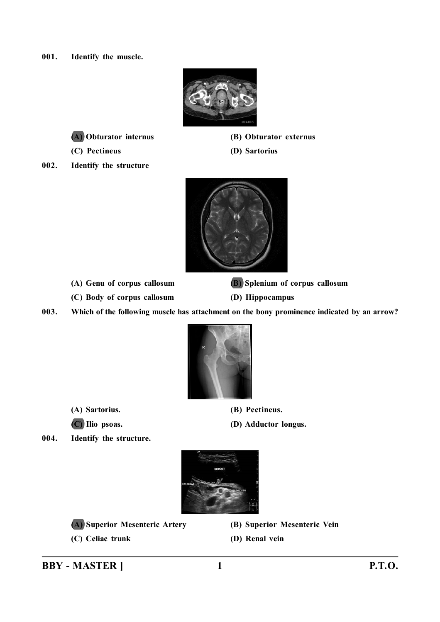**001. Identify the muscle.**



**(A) Obturator internus (B) Obturator externus**

**(C) Pectineus (D) Sartorius**

**002. Identify the structure**



**(C) Body of corpus callosum (D) Hippocampus**

**(A) Genu of corpus callosum (B) Splenium of corpus callosum**

**003. Which of the following muscle has attachment on the bony prominence indicated by an arrow?**



- **(A) Sartorius. (B) Pectineus.**
- **(C) Ilio psoas. (D) Adductor longus.**

**004. Identify the structure.**



- **(A) Superior Mesenteric Artery (B) Superior Mesenteric Vein**
- **(C) Celiac trunk (D) Renal vein**
- 
- 

**BBY - MASTER ] 1 P.T.O.**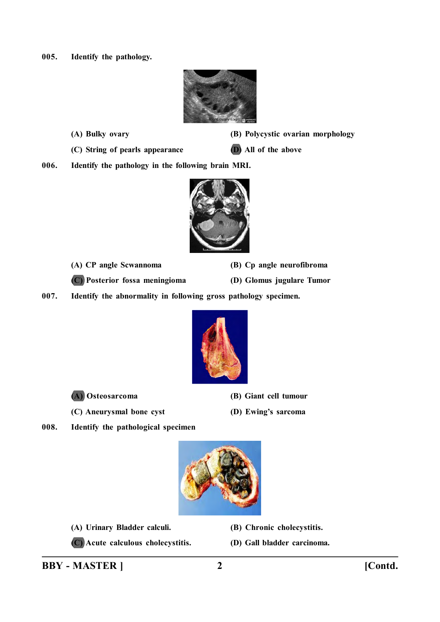**005. Identify the pathology.**



- 
- **(A) Bulky ovary (B) Polycystic ovarian morphology**
- **(C) String of pearls appearance (D) All of the above**

**006. Identify the pathology in the following brain MRI.**



**(A) CP angle Scwannoma (B) Cp angle neurofibroma**

**(C) Posterior fossa meningioma (D) Glomus jugulare Tumor**

**007. Identify the abnormality in following gross pathology specimen.**





- **(A) Osteosarcoma (B) Giant cell tumour**
- **(C) Aneurysmal bone cyst (D) Ewing's sarcoma**
- **008. Identify the pathological specimen**



- **(A) Urinary Bladder calculi. (B) Chronic cholecystitis.**
- **(C) Acute calculous cholecystitis. (D) Gall bladder carcinoma.**
- 
-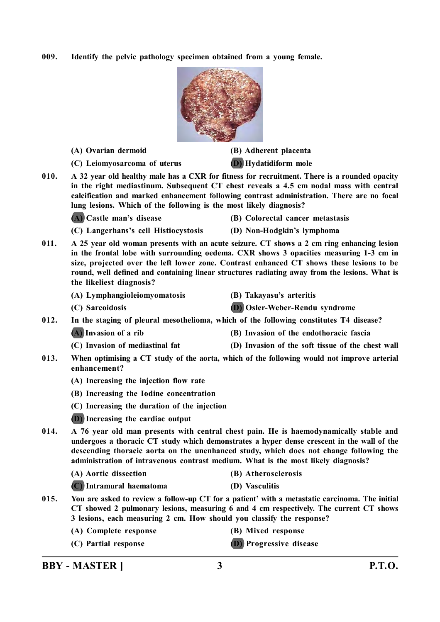**009. Identify the pelvic pathology specimen obtained from a young female.**



**(A) Ovarian dermoid (B) Adherent placenta**

**(C) Leiomyosarcoma of uterus (D) Hydatidiform mole**

**010. A 32 year old healthy male has a CXR for fitness for recruitment. There is a rounded opacity in the right mediastinum. Subsequent CT chest reveals a 4.5 cm nodal mass with central calcification and marked enhancement following contrast administration. There are no focal lung lesions. Which of the following is the most likely diagnosis?**

**(A) Castle man's disease (B) Colorectal cancer metastasis**

**(C) Langerhans's cell Histiocystosis (D) Non-Hodgkin's lymphoma**

- 
- **011. A 25 year old woman presents with an acute seizure. CT shows a 2 cm ring enhancing lesion in the frontal lobe with surrounding oedema. CXR shows 3 opacities measuring 1-3 cm in size, projected over the left lower zone. Contrast enhanced CT shows these lesions to be round, well defined and containing linear structures radiating away from the lesions. What is the likeliest diagnosis?**
	- **(A) Lymphangioleiomyomatosis (B) Takayasu's arteritis**
	-
- 
- **(C) Sarcoidosis (D) Osler-Weber-Rendu syndrome**
- **012. In the staging of pleural mesothelioma, which of the following constitutes T4 disease?**

**(A) Invasion of a rib (B) Invasion of the endothoracic fascia**

- **(C) Invasion of mediastinal fat (D) Invasion of the soft tissue of the chest wall**
- **013. When optimising a CT study of the aorta, which of the following would not improve arterial enhancement?**
	- **(A) Increasing the injection flow rate**
	- **(B) Increasing the Iodine concentration**
	- **(C) Increasing the duration of the injection**
	- **(D) Increasing the cardiac output**
- **014. A 76 year old man presents with central chest pain. He is haemodynamically stable and undergoes a thoracic CT study which demonstrates a hyper dense crescent in the wall of the descending thoracic aorta on the unenhanced study, which does not change following the administration of intravenous contrast medium. What is the most likely diagnosis?**
	- **(A) Aortic dissection (B) Atherosclerosis**
	- **(C) Intramural haematoma (D) Vasculitis**
- **015. You are asked to review a follow-up CT for a patient' with a metastatic carcinoma. The initial CT showed 2 pulmonary lesions, measuring 6 and 4 cm respectively. The current CT shows 3 lesions, each measuring 2 cm. How should you classify the response?**
	- **(A) Complete response (B) Mixed response**
	- **(C) Partial response (D) Progressive disease**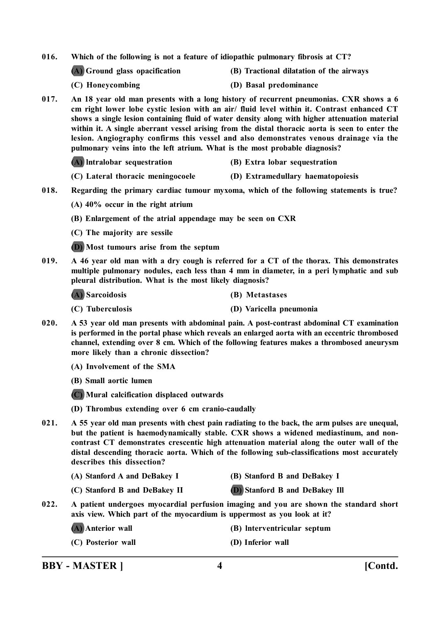**016. Which of the following is not a feature of idiopathic pulmonary fibrosis at CT?**

- **(A) Ground glass opacification (B) Tractional dilatation of the airways**
- 
- **(C) Honeycombing (D) Basal predominance**
- **017. An 18 year old man presents with a long history of recurrent pneumonias. CXR shows a 6 cm right lower lobe cystic lesion with an air/ fluid level within it. Contrast enhanced CT shows a single lesion containing fluid of water density along with higher attenuation material within it. A single aberrant vessel arising from the distal thoracic aorta is seen to enter the lesion. Angiography confirms this vessel and also demonstrates venous drainage via the pulmonary veins into the left atrium. What is the most probable diagnosis?**

**(A) lntralobar sequestration (B) Extra lobar sequestration**

- **(C) Lateral thoracic meningocoele (D) Extramedullary haematopoiesis**
- **018. Regarding the primary cardiac tumour myxoma, which of the following statements is true?**
	- **(A) 40% occur in the right atrium**
	- **(B) Enlargement of the atrial appendage may be seen on CXR**
	- **(C) The majority are sessile**
	- **(D) Most tumours arise from the septum**
- **019. A 46 year old man with a dry cough is referred for a CT of the thorax. This demonstrates multiple pulmonary nodules, each less than 4 mm in diameter, in a peri lymphatic and sub pleural distribution. What is the most likely diagnosis?**

**(A) Sarcoidosis (B) Metastases**

- **(C) Tuberculosis (D) Varicella pneumonia**
- **020. A 53 year old man presents with abdominal pain. A post-contrast abdominal CT examination is performed in the portal phase which reveals an enlarged aorta with an eccentric thrombosed channel, extending over 8 cm. Which of the following features makes a thrombosed aneurysm more likely than a chronic dissection?**
	- **(A) Involvement of the SMA**
	- **(B) Small aortic lumen**
	- **(C) Mural calcification displaced outwards**
	- **(D) Thrombus extending over 6 cm cranio-caudally**
- **021. A 55 year old man presents with chest pain radiating to the back, the arm pulses are unequal, but the patient is haemodynamically stable. CXR shows a widened mediastinum, and noncontrast CT demonstrates crescentic high attenuation material along the outer wall of the distal descending thoracic aorta. Which of the following sub-classifications most accurately describes this dissection?**
	- **(A) Stanford A and DeBakey I (B) Stanford B and DeBakey I**
	- **(C) Stanford B and DeBakey II (D) Stanford B and DeBakey Ill**
- 
- **022. A patient undergoes myocardial perfusion imaging and you are shown the standard short axis view. Which part of the myocardium is uppermost as you look at it?**
	-
	- **(A) Anterior wall (B) lnterventricular septum**
	- **(C) Posterior wall (D) Inferior wall**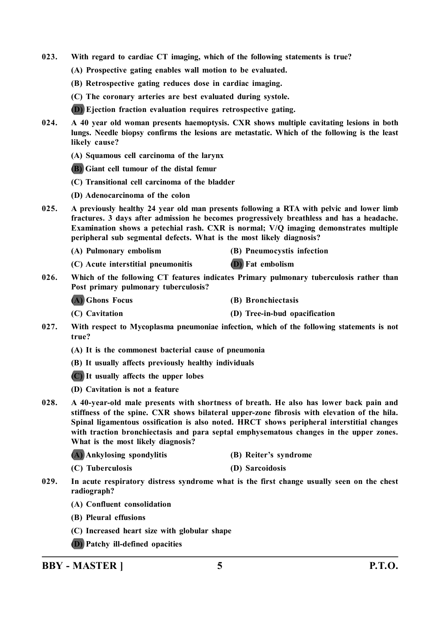- **023. With regard to cardiac CT imaging, which of the following statements is true?**
	- **(A) Prospective gating enables wall motion to be evaluated.**
	- **(B) Retrospective gating reduces dose in cardiac imaging.**
	- **(C) The coronary arteries are best evaluated during systole.**
	- **(D) Ejection fraction evaluation requires retrospective gating.**
- **024. A 40 year old woman presents haemoptysis. CXR shows multiple cavitating lesions in both lungs. Needle biopsy confirms the lesions are metastatic. Which of the following is the least likely cause?**
	- **(A) Squamous cell carcinoma of the larynx**
	- **(B) Giant cell tumour of the distal femur**
	- **(C) Transitional cell carcinoma of the bladder**
	- **(D) Adenocarcinoma of the colon**
- **025. A previously healthy 24 year old man presents following a RTA with pelvic and lower limb fractures. 3 days after admission he becomes progressively breathless and has a headache. Examination shows a petechial rash. CXR is normal; V/Q imaging demonstrates multiple peripheral sub segmental defects. What is the most likely diagnosis?**
	- **(A) Pulmonary embolism (B) Pneumocystis infection**
		-
	- **(C) Acute interstitial pneumonitis (D) Fat embolism**
- **026. Which of the following CT features indicates Primary pulmonary tuberculosis rather than Post primary pulmonary tuberculosis?**
	- **(A) Ghons Focus (B) Bronchiectasis**
	- **(C) Cavitation (D) Tree-in-bud opacification**
- **027. With respect to Mycoplasma pneumoniae infection, which of the following statements is not true?**
	- **(A) It is the commonest bacterial cause of pneumonia**
	- **(B) It usually affects previously healthy individuals**
	- **(C) It usually affects the upper lobes**
	- **(D) Cavitation is not a feature**
- **028. A 40-year-old male presents with shortness of breath. He also has lower back pain and stiffness of the spine. CXR shows bilateral upper-zone fibrosis with elevation of the hila. Spinal ligamentous ossification is also noted. HRCT shows peripheral interstitial changes with traction bronchiectasis and para septal emphysematous changes in the upper zones. What is the most likely diagnosis?**
	- **(A) Ankylosing spondylitis (B) Reiter's syndrome**
	- **(C) Tuberculosis (D) Sarcoidosis**
- **029. In acute respiratory distress syndrome what is the first change usually seen on the chest radiograph?**
	- **(A) Confluent consolidation**
	- **(B) Pleural effusions**
	- **(C) Increased heart size with globular shape**
	- **(D) Patchy ill-defined opacities**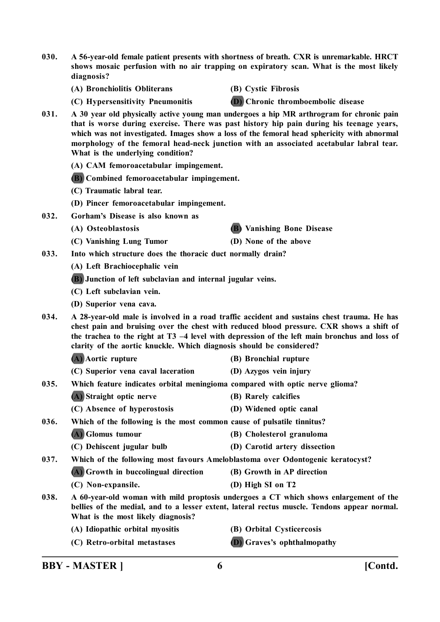**030. A 56-year-old female patient presents with shortness of breath. CXR is unremarkable. HRCT shows mosaic perfusion with no air trapping on expiratory scan. What is the most likely diagnosis?**

**(A) Bronchiolitis Obliterans (B) Cystic Fibrosis**

**(C) Hypersensitivity Pneumonitis (D) Chronic thromboembolic disease**

- **031. A 30 year old physically active young man undergoes a hip MR arthrogram for chronic pain that is worse during exercise. There was past history hip pain during his teenage years, which was not investigated. Images show a loss of the femoral head sphericity with abnormal morphology of the femoral head-neck junction with an associated acetabular labral tear. What is the underlying condition?**
	- **(A) CAM femoroacetabular impingement.**
	- **(B) Combined femoroacetabular impingement.**
	- **(C) Traumatic labral tear.**
	- **(D) Pincer femoroacetabular impingement.**
- **032. Gorham's Disease is also known as**
	- **(A) Osteoblastosis (B) Vanishing Bone Disease**
	- **(C) Vanishing Lung Tumor (D) None of the above**
- **033. Into which structure does the thoracic duct normally drain?**
	- **(A) Left Brachiocephalic vein**
	- **(B) Junction of left subclavian and internal jugular veins.**
	- **(C) Left subclavian vein.**
	- **(D) Superior vena cava.**
- **034. A 28-year-old male is involved in a road traffic accident and sustains chest trauma. He has chest pain and bruising over the chest with reduced blood pressure. CXR shows a shift of the trachea to the right at T3 –4 level with depression of the left main bronchus and loss of clarity of the aortic knuckle. Which diagnosis should be considered?**

| (A) Aortic rupture | (B) Bronchial rupture |
|--------------------|-----------------------|
|--------------------|-----------------------|

- **(C) Superior vena caval laceration (D) Azygos vein injury**
- **035. Which feature indicates orbital meningioma compared with optic nerve glioma?**
	- **(A) Straight optic nerve (B) Rarely calcifies**
	- **(C) Absence of hyperostosis (D) Widened optic canal**
- **036. Which of the following is the most common cause of pulsatile tinnitus?**
	- **(A) Glomus tumour (B) Cholesterol granuloma**
	- **(C) Dehiscent jugular bulb (D) Carotid artery dissection**
- **037. Which of the following most favours Ameloblastoma over Odontogenic keratocyst?**
	- **(A) Growth in buccolingual direction (B) Growth in AP direction**
	- **(C) Non-expansile. (D) High SI on T2**
- **038. A 60-year-old woman with mild proptosis undergoes a CT which shows enlargement of the bellies of the medial, and to a lesser extent, lateral rectus muscle. Tendons appear normal. What is the most likely diagnosis?**
	- **(A) Idiopathic orbital myositis (B) Orbital Cysticercosis**
		- **(C) Retro-orbital metastases (D) Graves's ophthalmopathy**
			-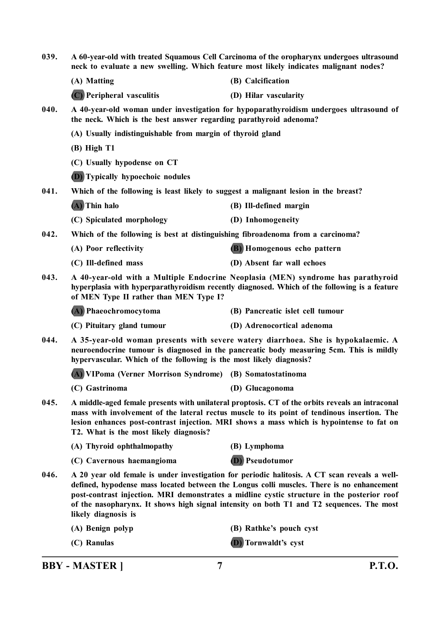| 039. | A 60-year-old with treated Squamous Cell Carcinoma of the oropharynx undergoes ultrasound<br>neck to evaluate a new swelling. Which feature most likely indicates malignant nodes?                                                                                                                                                                                                                          |                                  |  |  |
|------|-------------------------------------------------------------------------------------------------------------------------------------------------------------------------------------------------------------------------------------------------------------------------------------------------------------------------------------------------------------------------------------------------------------|----------------------------------|--|--|
|      | (A) Matting                                                                                                                                                                                                                                                                                                                                                                                                 | (B) Calcification                |  |  |
|      | (C) Peripheral vasculitis                                                                                                                                                                                                                                                                                                                                                                                   | (D) Hilar vascularity            |  |  |
| 040. | A 40-year-old woman under investigation for hypoparathyroidism undergoes ultrasound of<br>the neck. Which is the best answer regarding parathyroid adenoma?                                                                                                                                                                                                                                                 |                                  |  |  |
|      | (A) Usually indistinguishable from margin of thyroid gland                                                                                                                                                                                                                                                                                                                                                  |                                  |  |  |
|      | $(B)$ High T1                                                                                                                                                                                                                                                                                                                                                                                               |                                  |  |  |
|      | (C) Usually hypodense on CT                                                                                                                                                                                                                                                                                                                                                                                 |                                  |  |  |
|      | (D) Typically hypoechoic nodules                                                                                                                                                                                                                                                                                                                                                                            |                                  |  |  |
| 041. | Which of the following is least likely to suggest a malignant lesion in the breast?                                                                                                                                                                                                                                                                                                                         |                                  |  |  |
|      | (A) Thin halo                                                                                                                                                                                                                                                                                                                                                                                               | (B) Ill-defined margin           |  |  |
|      | (C) Spiculated morphology                                                                                                                                                                                                                                                                                                                                                                                   | (D) Inhomogeneity                |  |  |
| 042. | Which of the following is best at distinguishing fibroadenoma from a carcinoma?                                                                                                                                                                                                                                                                                                                             |                                  |  |  |
|      | (A) Poor reflectivity                                                                                                                                                                                                                                                                                                                                                                                       | (B) Homogenous echo pattern      |  |  |
|      | (C) Ill-defined mass                                                                                                                                                                                                                                                                                                                                                                                        | (D) Absent far wall echoes       |  |  |
| 043. | A 40-year-old with a Multiple Endocrine Neoplasia (MEN) syndrome has parathyroid<br>hyperplasia with hyperparathyroidism recently diagnosed. Which of the following is a feature<br>of MEN Type II rather than MEN Type I?                                                                                                                                                                                  |                                  |  |  |
|      | (A) Phaeochromocytoma                                                                                                                                                                                                                                                                                                                                                                                       | (B) Pancreatic islet cell tumour |  |  |
|      | (C) Pituitary gland tumour                                                                                                                                                                                                                                                                                                                                                                                  | (D) Adrenocortical adenoma       |  |  |
| 044. | A 35-year-old woman presents with severe watery diarrhoea. She is hypokalaemic. A<br>neuroendocrine tumour is diagnosed in the pancreatic body measuring 5cm. This is mildly<br>hypervascular. Which of the following is the most likely diagnosis?                                                                                                                                                         |                                  |  |  |
|      | (A) VIPoma (Verner Morrison Syndrome) (B) Somatostatinoma                                                                                                                                                                                                                                                                                                                                                   |                                  |  |  |
|      | (C) Gastrinoma                                                                                                                                                                                                                                                                                                                                                                                              | (D) Glucagonoma                  |  |  |
| 045. | A middle-aged female presents with unilateral proptosis. CT of the orbits reveals an intraconal<br>mass with involvement of the lateral rectus muscle to its point of tendinous insertion. The<br>lesion enhances post-contrast injection. MRI shows a mass which is hypointense to fat on<br>T2. What is the most likely diagnosis?                                                                        |                                  |  |  |
|      | (A) Thyroid ophthalmopathy                                                                                                                                                                                                                                                                                                                                                                                  | (B) Lymphoma                     |  |  |
|      | (C) Cavernous haemangioma                                                                                                                                                                                                                                                                                                                                                                                   | <b>(D)</b> Pseudotumor           |  |  |
| 046. | A 20 year old female is under investigation for periodic halitosis. A CT scan reveals a well-<br>defined, hypodense mass located between the Longus colli muscles. There is no enhancement<br>post-contrast injection. MRI demonstrates a midline cystic structure in the posterior roof<br>of the nasopharynx. It shows high signal intensity on both T1 and T2 sequences. The most<br>likely diagnosis is |                                  |  |  |
|      | (A) Benign polyp                                                                                                                                                                                                                                                                                                                                                                                            | (B) Rathke's pouch cyst          |  |  |
|      | (C) Ranulas                                                                                                                                                                                                                                                                                                                                                                                                 | (D) Tornwaldt's cyst             |  |  |
|      |                                                                                                                                                                                                                                                                                                                                                                                                             |                                  |  |  |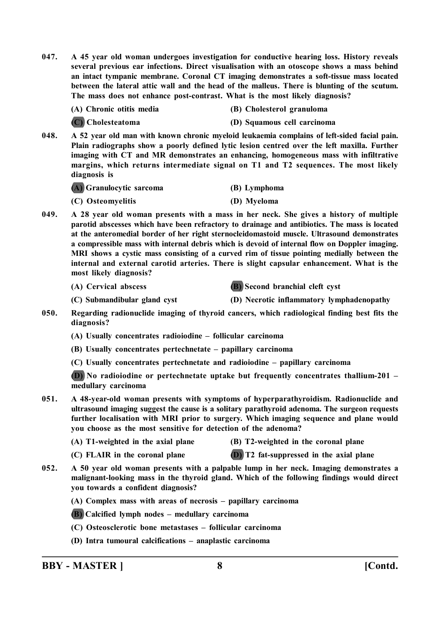**047. A 45 year old woman undergoes investigation for conductive hearing loss. History reveals several previous ear infections. Direct visualisation with an otoscope shows a mass behind an intact tympanic membrane. Coronal CT imaging demonstrates a soft-tissue mass located between the lateral attic wall and the head of the malleus. There is blunting of the scutum. The mass does not enhance post-contrast. What is the most likely diagnosis?**

| (A) Chronic otitis media | (B) Cholesterol granuloma |
|--------------------------|---------------------------|
|                          |                           |

**(C) Cholesteatoma (D) Squamous cell carcinoma**

**048. A 52 year old man with known chronic myeloid leukaemia complains of left-sided facial pain. Plain radiographs show a poorly defined lytic lesion centred over the left maxilla. Further imaging with CT and MR demonstrates an enhancing, homogeneous mass with infiltrative margins, which returns intermediate signal on T1 and T2 sequences. The most likely diagnosis is**

**(A) Granulocytic sarcoma (B) Lymphoma**

- **(C) Osteomyelitis (D) Myeloma**
- **049. A 28 year old woman presents with a mass in her neck. She gives a history of multiple parotid abscesses which have been refractory to drainage and antibiotics. The mass is located at the anteromedial border of her right sternocleidomastoid muscle. Ultrasound demonstrates a compressible mass with internal debris which is devoid of internal flow on Doppler imaging. MRI shows a cystic mass consisting of a curved rim of tissue pointing medially between the internal and external carotid arteries. There is slight capsular enhancement. What is the most likely diagnosis?**

**(A) Cervical abscess (B) Second branchial cleft cyst**

**(C) Submandibular gland cyst (D) Necrotic inflammatory lymphadenopathy**

- **050. Regarding radionuclide imaging of thyroid cancers, which radiological finding best fits the diagnosis?**
	- **(A) Usually concentrates radioiodine follicular carcinoma**
	- **(B) Usually concentrates pertechnetate papillary carcinoma**
	- **(C) Usually concentrates pertechnetate and radioiodine papillary carcinoma**

**(D) No radioiodine or pertechnetate uptake but frequently concentrates thallium-201 – medullary carcinoma**

- **051. A 48-year-old woman presents with symptoms of hyperparathyroidism. Radionuclide and ultrasound imaging suggest the cause is a solitary parathyroid adenoma. The surgeon requests further localisation with MRI prior to surgery. Which imaging sequence and plane would you choose as the most sensitive for detection of the adenoma?**
	- **(A) T1-weighted in the axial plane (B) T2-weighted in the coronal plane**
- -
	- **(C) FLAIR in the coronal plane (D) T2 fat-suppressed in the axial plane**
- **052. A 50 year old woman presents with a palpable lump in her neck. Imaging demonstrates a malignant-looking mass in the thyroid gland. Which of the following findings would direct you towards a confident diagnosis?**
	- **(A) Complex mass with areas of necrosis papillary carcinoma**
	- **(B) Calcified lymph nodes medullary carcinoma**
	- **(C) Osteosclerotic bone metastases follicular carcinoma**
	- **(D) Intra tumoural calcifications anaplastic carcinoma**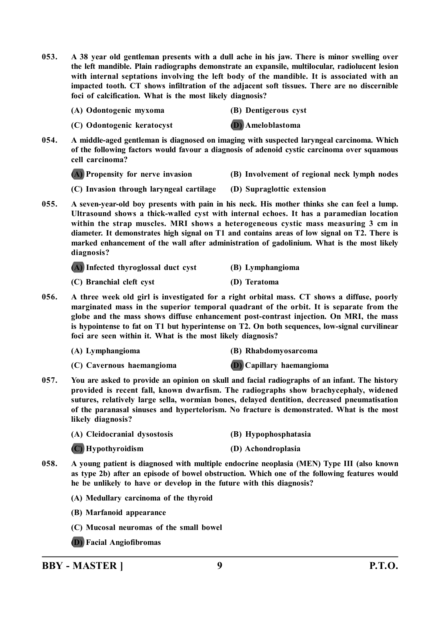- **053. A 38 year old gentleman presents with a dull ache in his jaw. There is minor swelling over the left mandible. Plain radiographs demonstrate an expansile, multilocular, radiolucent lesion with internal septations involving the left body of the mandible. It is associated with an impacted tooth. CT shows infiltration of the adjacent soft tissues. There are no discernible foci of calcification. What is the most likely diagnosis?**
	- **(A) Odontogenic myxoma (B) Dentigerous cyst**
	- **(C) Odontogenic keratocyst (D) Ameloblastoma**

**054. A middle-aged gentleman is diagnosed on imaging with suspected laryngeal carcinoma. Which of the following factors would favour a diagnosis of adenoid cystic carcinoma over squamous cell carcinoma?**

**(A) Propensity for nerve invasion (B) Involvement of regional neck lymph nodes**

**(C) Invasion through laryngeal cartilage (D) Supraglottic extension**

**055. A seven-year-old boy presents with pain in his neck. His mother thinks she can feel a lump. Ultrasound shows a thick-walled cyst with internal echoes. It has a paramedian location within the strap muscles. MRI shows a heterogeneous cystic mass measuring 3 cm in diameter. It demonstrates high signal on T1 and contains areas of low signal on T2. There is marked enhancement of the wall after administration of gadolinium. What is the most likely diagnosis?**

|  |  | (A) Infected thyroglossal duct cyst |  |  |  | (B) Lymphangioma |
|--|--|-------------------------------------|--|--|--|------------------|
|--|--|-------------------------------------|--|--|--|------------------|

- **(C) Branchial cleft cyst (D) Teratoma**
- **056. A three week old girl is investigated for a right orbital mass. CT shows a diffuse, poorly marginated mass in the superior temporal quadrant of the orbit. It is separate from the globe and the mass shows diffuse enhancement post-contrast injection. On MRI, the mass is hypointense to fat on T1 but hyperintense on T2. On both sequences, low-signal curvilinear foci are seen within it. What is the most likely diagnosis?**
	-

**(A) Lymphangioma (B) Rhabdomyosarcoma**

- **(C) Cavernous haemangioma (D) Capillary haemangioma**
- 
- **057. You are asked to provide an opinion on skull and facial radiographs of an infant. The history provided is recent fall, known dwarfism. The radiographs show brachycephaly, widened sutures, relatively large sella, wormian bones, delayed dentition, decreased pneumatisation of the paranasal sinuses and hypertelorism. No fracture is demonstrated. What is the most likely diagnosis?**
	- **(A) Cleidocranial dysostosis (B) Hypophosphatasia**
	- **(C) Hypothyroidism (D) Achondroplasia**
		-
- **058. A young patient is diagnosed with multiple endocrine neoplasia (MEN) Type III (also known as type 2b) after an episode of bowel obstruction. Which one of the following features would he be unlikely to have or develop in the future with this diagnosis?**
	- **(A) Medullary carcinoma of the thyroid**
	- **(B) Marfanoid appearance**
	- **(C) Mucosal neuromas of the small bowel**
	- **(D) Facial Angiofibromas**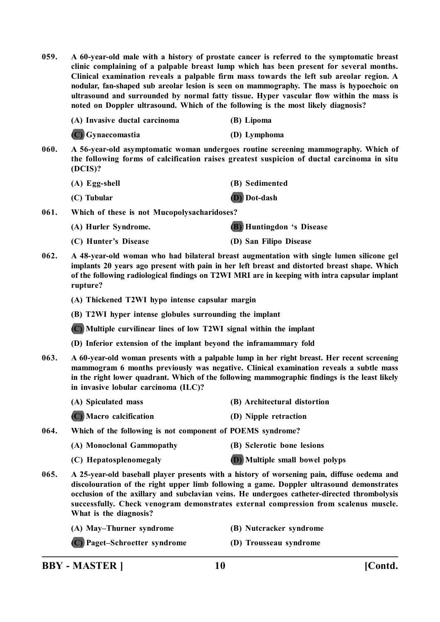**059. A 60-year-old male with a history of prostate cancer is referred to the symptomatic breast clinic complaining of a palpable breast lump which has been present for several months. Clinical examination reveals a palpable firm mass towards the left sub areolar region. A nodular, fan-shaped sub areolar lesion is seen on mammography. The mass is hypoechoic on ultrasound and surrounded by normal fatty tissue. Hyper vascular flow within the mass is noted on Doppler ultrasound. Which of the following is the most likely diagnosis?**

| (A) Invasive ductal carcinoma | (B) Lipoma   |
|-------------------------------|--------------|
| (C) Gynaecomastia             | (D) Lymphoma |

**060. A 56-year-old asymptomatic woman undergoes routine screening mammography. Which of the following forms of calcification raises greatest suspicion of ductal carcinoma in situ (DCIS)?**

| (A) Egg-shell | (B) Sedimented |
|---------------|----------------|
| (C) Tubular   | (D) Dot-dash   |

**061. Which of these is not Mucopolysacharidoses?**

**(A) Hurler Syndrome. (B) Huntingdon 's Disease**

- **(C) Hunter's Disease (D) San Filipo Disease**
- **062. A 48-year-old woman who had bilateral breast augmentation with single lumen silicone gel implants 20 years ago present with pain in her left breast and distorted breast shape. Which of the following radiological findings on T2WI MRI are in keeping with intra capsular implant rupture?**

**(A) Thickened T2WI hypo intense capsular margin**

**(B) T2WI hyper intense globules surrounding the implant**

**(C) Multiple curvilinear lines of low T2WI signal within the implant**

**(D) Inferior extension of the implant beyond the inframammary fold**

**063. A 60-year-old woman presents with a palpable lump in her right breast. Her recent screening mammogram 6 months previously was negative. Clinical examination reveals a subtle mass in the right lower quadrant. Which of the following mammographic findings is the least likely in invasive lobular carcinoma (ILC)?**

| (A) Spiculated mass     | (B) Architectural distortion |
|-------------------------|------------------------------|
| (C) Macro calcification | (D) Nipple retraction        |

**064. Which of the following is not component of POEMS syndrome?**

| (A) Monoclonal Gammopathy | (B) Sclerotic bone lesions             |
|---------------------------|----------------------------------------|
| (C) Hepatosplenomegaly    | <b>(D)</b> Multiple small bowel polyps |

- **065. A 25-year-old baseball player presents with a history of worsening pain, diffuse oedema and discolouration of the right upper limb following a game. Doppler ultrasound demonstrates occlusion of the axillary and subclavian veins. He undergoes catheter-directed thrombolysis successfully. Check venogram demonstrates external compression from scalenus muscle. What is the diagnosis?**
	- **(A) May–Thurner syndrome (B) Nutcracker syndrome**
	- **(C) Paget–Schroetter syndrome (D) Trousseau syndrome**
- -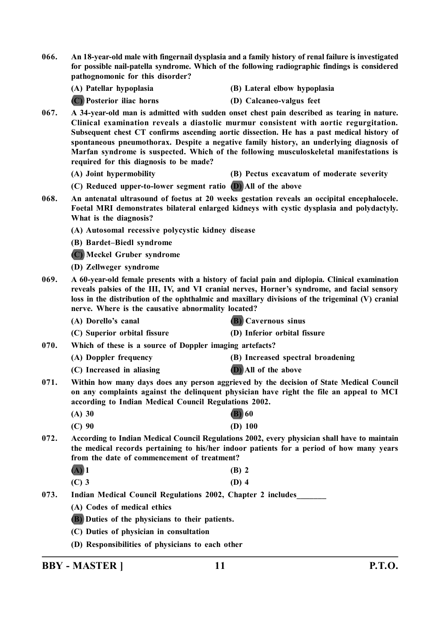**066. An 18-year-old male with fingernail dysplasia and a family history of renal failure is investigated for possible nail-patella syndrome. Which of the following radiographic findings is considered pathognomonic for this disorder?**

**(A) Patellar hypoplasia (B) Lateral elbow hypoplasia**

**(C) Posterior iliac horns (D) Calcaneo-valgus feet**

- **067. A 34-year-old man is admitted with sudden onset chest pain described as tearing in nature. Clinical examination reveals a diastolic murmur consistent with aortic regurgitation. Subsequent chest CT confirms ascending aortic dissection. He has a past medical history of spontaneous pneumothorax. Despite a negative family history, an underlying diagnosis of Marfan syndrome is suspected. Which of the following musculoskeletal manifestations is required for this diagnosis to be made?**
	- **(A) Joint hypermobility (B) Pectus excavatum of moderate severity**
	- **(C) Reduced upper-to-lower segment ratio (D) All of the above**
	- **068. An antenatal ultrasound of foetus at 20 weeks gestation reveals an occipital encephalocele. Foetal MRI demonstrates bilateral enlarged kidneys with cystic dysplasia and polydactyly. What is the diagnosis?**

**(A) Autosomal recessive polycystic kidney disease**

**(B) Bardet–Biedl syndrome**

**(C) Meckel Gruber syndrome**

**(D) Zellweger syndrome**

- **069. A 60-year-old female presents with a history of facial pain and diplopia. Clinical examination reveals palsies of the III, IV, and VI cranial nerves, Horner's syndrome, and facial sensory loss in the distribution of the ophthalmic and maxillary divisions of the trigeminal (V) cranial nerve. Where is the causative abnormality located?**
	- **(A) Dorello's canal (B) Cavernous sinus**
	- **(C) Superior orbital fissure (D) Inferior orbital fissure**
- **070. Which of these is a source of Doppler imaging artefacts?**
	- **(A) Doppler frequency (B) Increased spectral broadening**
		-
	- **(C) Increased in aliasing (D) All of the above**
- **071. Within how many days does any person aggrieved by the decision of State Medical Council on any complaints against the delinquent physician have right the file an appeal to MCI according to Indian Medical Council Regulations 2002.**
	- **(A) 30 (B) 60**
	- **(C) 90 (D) 100**
- **072. According to Indian Medical Council Regulations 2002, every physician shall have to maintain the medical records pertaining to his/her indoor patients for a period of how many years from the date of commencement of treatment?**

| $(A)$ 1 |  | $(B)$ 2 |
|---------|--|---------|
|         |  |         |

**(C) 3 (D) 4**

- 073. Indian Medical Council Regulations 2002, Chapter 2 includes
	- **(A) Codes of medical ethics**
	- **(B) Duties of the physicians to their patients.**
	- **(C) Duties of physician in consultation**
	- **(D) Responsibilities of physicians to each other**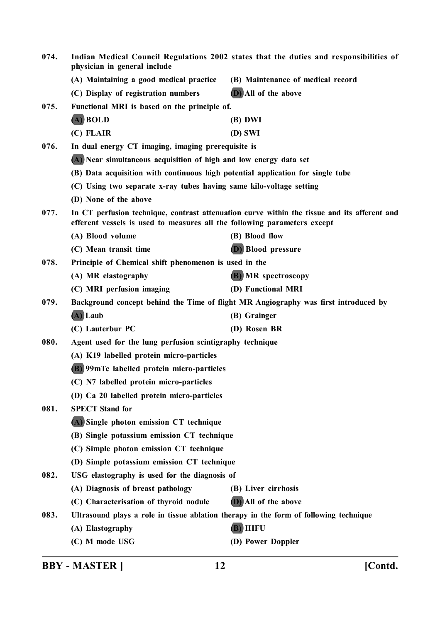| 074.<br>Indian Medical Council Regulations 2002 states that the duties and responsibilities of<br>physician in general include |                                                                                       |                                                                                              |  |  |  |
|--------------------------------------------------------------------------------------------------------------------------------|---------------------------------------------------------------------------------------|----------------------------------------------------------------------------------------------|--|--|--|
|                                                                                                                                | (A) Maintaining a good medical practice                                               | (B) Maintenance of medical record                                                            |  |  |  |
|                                                                                                                                | (C) Display of registration numbers                                                   | (D) All of the above                                                                         |  |  |  |
| 075.                                                                                                                           | Functional MRI is based on the principle of.                                          |                                                                                              |  |  |  |
|                                                                                                                                | (A) BOLD                                                                              | (B) DWI                                                                                      |  |  |  |
|                                                                                                                                | (C) FLAIR                                                                             | (D) SWI                                                                                      |  |  |  |
| 076.                                                                                                                           | In dual energy CT imaging, imaging prerequisite is                                    |                                                                                              |  |  |  |
|                                                                                                                                | (A) Near simultaneous acquisition of high and low energy data set                     |                                                                                              |  |  |  |
|                                                                                                                                | (B) Data acquisition with continuous high potential application for single tube       |                                                                                              |  |  |  |
|                                                                                                                                | (C) Using two separate x-ray tubes having same kilo-voltage setting                   |                                                                                              |  |  |  |
|                                                                                                                                | (D) None of the above                                                                 |                                                                                              |  |  |  |
| 077.                                                                                                                           | efferent vessels is used to measures all the following parameters except              | In CT perfusion technique, contrast attenuation curve within the tissue and its afferent and |  |  |  |
|                                                                                                                                | (A) Blood volume                                                                      | (B) Blood flow                                                                               |  |  |  |
|                                                                                                                                | (C) Mean transit time                                                                 | (D) Blood pressure                                                                           |  |  |  |
| 078.                                                                                                                           |                                                                                       | Principle of Chemical shift phenomenon is used in the                                        |  |  |  |
|                                                                                                                                | (A) MR elastography                                                                   | (B) MR spectroscopy                                                                          |  |  |  |
|                                                                                                                                | (C) MRI perfusion imaging                                                             | (D) Functional MRI                                                                           |  |  |  |
| 079.                                                                                                                           | Background concept behind the Time of flight MR Angiography was first introduced by   |                                                                                              |  |  |  |
|                                                                                                                                | (A) Laub                                                                              | (B) Grainger                                                                                 |  |  |  |
|                                                                                                                                | (C) Lauterbur PC                                                                      | (D) Rosen BR                                                                                 |  |  |  |
| 080.                                                                                                                           | Agent used for the lung perfusion scintigraphy technique                              |                                                                                              |  |  |  |
|                                                                                                                                | (A) K19 labelled protein micro-particles                                              |                                                                                              |  |  |  |
|                                                                                                                                | (B) 99mTc labelled protein micro-particles                                            |                                                                                              |  |  |  |
|                                                                                                                                | (C) N7 labelled protein micro-particles                                               |                                                                                              |  |  |  |
|                                                                                                                                | (D) Ca 20 labelled protein micro-particles                                            |                                                                                              |  |  |  |
| 081.                                                                                                                           | <b>SPECT Stand for</b>                                                                |                                                                                              |  |  |  |
|                                                                                                                                | (A) Single photon emission CT technique                                               |                                                                                              |  |  |  |
|                                                                                                                                | (B) Single potassium emission CT technique                                            |                                                                                              |  |  |  |
|                                                                                                                                | (C) Simple photon emission CT technique                                               |                                                                                              |  |  |  |
|                                                                                                                                | (D) Simple potassium emission CT technique                                            |                                                                                              |  |  |  |
| 082.                                                                                                                           | USG elastography is used for the diagnosis of                                         |                                                                                              |  |  |  |
|                                                                                                                                | (A) Diagnosis of breast pathology                                                     | (B) Liver cirrhosis                                                                          |  |  |  |
|                                                                                                                                | (C) Characterisation of thyroid nodule                                                | (D) All of the above                                                                         |  |  |  |
| 083.                                                                                                                           | Ultrasound plays a role in tissue ablation therapy in the form of following technique |                                                                                              |  |  |  |
|                                                                                                                                | (A) Elastography                                                                      | (B) HIFU                                                                                     |  |  |  |
|                                                                                                                                | (C) M mode USG                                                                        | (D) Power Doppler                                                                            |  |  |  |
|                                                                                                                                |                                                                                       |                                                                                              |  |  |  |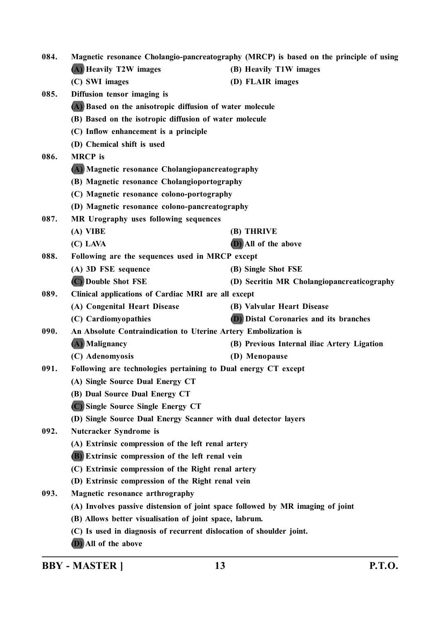**084. Magnetic resonance Cholangio-pancreatography (MRCP) is based on the principle of using (A) Heavily T2W images (B) Heavily T1W images (C) SWI images (D) FLAIR images 085. Diffusion tensor imaging is (A) Based on the anisotropic diffusion of water molecule (B) Based on the isotropic diffusion of water molecule (C) Inflow enhancement is a principle (D) Chemical shift is used 086. MRCP is (A) Magnetic resonance Cholangiopancreatography (B) Magnetic resonance Cholangioportography (C) Magnetic resonance colono-portography (D) Magnetic resonance colono-pancreatography 087. MR Urography uses following sequences (A) VIBE (B) THRIVE (C) LAVA (D) All of the above 088. Following are the sequences used in MRCP except (A) 3D FSE sequence (B) Single Shot FSE (C) Double Shot FSE (D) Secritin MR Cholangiopancreaticography 089. Clinical applications of Cardiac MRI are all except (A) Congenital Heart Disease (B) Valvular Heart Disease (C) Cardiomyopathies (D) Distal Coronaries and its branches 090. An Absolute Contraindication to Uterine Artery Embolization is (A) Malignancy (B) Previous Internal iliac Artery Ligation (C) Adenomyosis (D) Menopause 091. Following are technologies pertaining to Dual energy CT except (A) Single Source Dual Energy CT (B) Dual Source Dual Energy CT (C) Single Source Single Energy CT (D) Single Source Dual Energy Scanner with dual detector layers 092. Nutcracker Syndrome is (A) Extrinsic compression of the left renal artery (B) Extrinsic compression of the left renal vein (C) Extrinsic compression of the Right renal artery (D) Extrinsic compression of the Right renal vein 093. Magnetic resonance arthrography (A) Involves passive distension of joint space followed by MR imaging of joint (B) Allows better visualisation of joint space, labrum. (C) Is used in diagnosis of recurrent dislocation of shoulder joint.**

**(D) All of the above**

**BBY - MASTER ] 13 P.T.O.**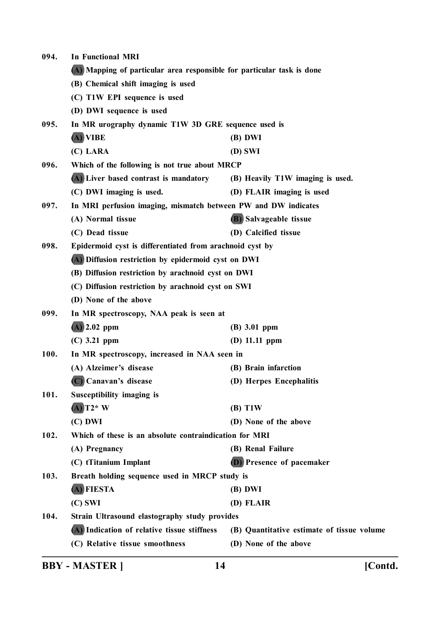| 094. | <b>In Functional MRI</b>                                               |                                            |  |  |
|------|------------------------------------------------------------------------|--------------------------------------------|--|--|
|      | (A) Mapping of particular area responsible for particular task is done |                                            |  |  |
|      | (B) Chemical shift imaging is used                                     |                                            |  |  |
|      | (C) T1W EPI sequence is used                                           |                                            |  |  |
|      | (D) DWI sequence is used                                               |                                            |  |  |
| 095. | In MR urography dynamic T1W 3D GRE sequence used is                    |                                            |  |  |
|      | (A) VIBE                                                               | (B) DWI                                    |  |  |
|      | (C) LARA                                                               | (D) SWI                                    |  |  |
| 096. | Which of the following is not true about MRCP                          |                                            |  |  |
|      | (A) Liver based contrast is mandatory                                  | (B) Heavily T1W imaging is used.           |  |  |
|      | (C) DWI imaging is used.                                               | (D) FLAIR imaging is used                  |  |  |
| 097. | In MRI perfusion imaging, mismatch between PW and DW indicates         |                                            |  |  |
|      | (A) Normal tissue                                                      | (B) Salvageable tissue                     |  |  |
|      | (C) Dead tissue                                                        | (D) Calcified tissue                       |  |  |
| 098. | Epidermoid cyst is differentiated from arachnoid cyst by               |                                            |  |  |
|      | (A) Diffusion restriction by epidermoid cyst on DWI                    |                                            |  |  |
|      | (B) Diffusion restriction by arachnoid cyst on DWI                     |                                            |  |  |
|      | (C) Diffusion restriction by arachnoid cyst on SWI                     |                                            |  |  |
|      | (D) None of the above                                                  |                                            |  |  |
| 099. | In MR spectroscopy, NAA peak is seen at                                |                                            |  |  |
|      | $(A)$ 2.02 ppm                                                         | (B) 3.01 ppm                               |  |  |
|      | $(C)$ 3.21 ppm                                                         | (D) $11.11$ ppm                            |  |  |
| 100. | In MR spectroscopy, increased in NAA seen in                           |                                            |  |  |
|      | (A) Alzeimer's disease                                                 | (B) Brain infarction                       |  |  |
|      | (C) Canavan's disease                                                  | (D) Herpes Encephalitis                    |  |  |
| 101. | Susceptibility imaging is                                              |                                            |  |  |
|      | $(A)$ T2* W                                                            | (B) T1W                                    |  |  |
|      | $(C)$ DWI                                                              | (D) None of the above                      |  |  |
| 102. | Which of these is an absolute contraindication for MRI                 |                                            |  |  |
|      | (A) Pregnancy                                                          | (B) Renal Failure                          |  |  |
|      | (C) tTitanium Implant                                                  | (D) Presence of pacemaker                  |  |  |
| 103. | Breath holding sequence used in MRCP study is                          |                                            |  |  |
|      | (A) FIESTA                                                             | (B) DWI                                    |  |  |
|      | $(C)$ SWI                                                              | (D) FLAIR                                  |  |  |
| 104. | Strain Ultrasound elastography study provides                          |                                            |  |  |
|      | (A) Indication of relative tissue stiffness                            | (B) Quantitative estimate of tissue volume |  |  |
|      | (C) Relative tissue smoothness                                         | (D) None of the above                      |  |  |
|      |                                                                        |                                            |  |  |

**BBY - MASTER ] 14 [Contd.**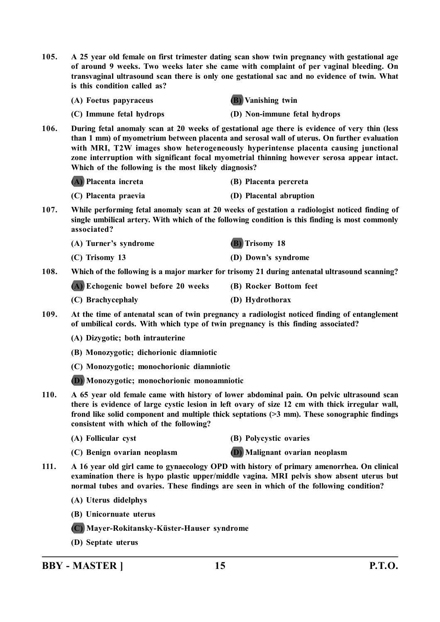**105. A 25 year old female on first trimester dating scan show twin pregnancy with gestational age of around 9 weeks. Two weeks later she came with complaint of per vaginal bleeding. On transvaginal ultrasound scan there is only one gestational sac and no evidence of twin. What is this condition called as?**

**(A) Foetus papyraceus (B) Vanishing twin**



**(C) Immune fetal hydrops (D) Non-immune fetal hydrops**

**106. During fetal anomaly scan at 20 weeks of gestational age there is evidence of very thin (less than 1 mm) of myometrium between placenta and serosal wall of uterus. On further evaluation with MRI, T2W images show heterogeneously hyperintense placenta causing junctional zone interruption with significant focal myometrial thinning however serosa appear intact. Which of the following is the most likely diagnosis?**

**(A) Placenta increta (B) Placenta percreta**

- **(C) Placenta praevia (D) Placental abruption**
- **107. While performing fetal anomaly scan at 20 weeks of gestation a radiologist noticed finding of single umbilical artery. With which of the following condition is this finding is most commonly associated?**
	- **(A) Turner's syndrome (B) Trisomy 18 (C) Trisomy 13 (D) Down's syndrome**
- **108. Which of the following is a major marker for trisomy 21 during antenatal ultrasound scanning?**

**(A) Echogenic bowel before 20 weeks (B) Rocker Bottom feet**

- **(C) Brachycephaly (D) Hydrothorax**
- **109. At the time of antenatal scan of twin pregnancy a radiologist noticed finding of entanglement of umbilical cords. With which type of twin pregnancy is this finding associated?**
	- **(A) Dizygotic; both intrauterine**
	- **(B) Monozygotic; dichorionic diamniotic**
	- **(C) Monozygotic; monochorionic diamniotic**
	- **(D) Monozygotic; monochorionic monoamniotic**
- **110. A 65 year old female came with history of lower abdominal pain. On pelvic ultrasound scan there is evidence of large cystic lesion in left ovary of size 12 cm with thick irregular wall, frond like solid component and multiple thick septations (>3 mm). These sonographic findings consistent with which of the following?**
	-
	- **(A) Follicular cyst (B) Polycystic ovaries**
	-
	- **(C) Benign ovarian neoplasm (D) Malignant ovarian neoplasm**
- **111. A 16 year old girl came to gynaecology OPD with history of primary amenorrhea. On clinical examination there is hypo plastic upper/middle vagina. MRI pelvis show absent uterus but normal tubes and ovaries. These findings are seen in which of the following condition?**
	- **(A) Uterus didelphys**
	- **(B) Unicornuate uterus**
	- **(C) Mayer-Rokitansky-Küster-Hauser syndrome**
	- **(D) Septate uterus**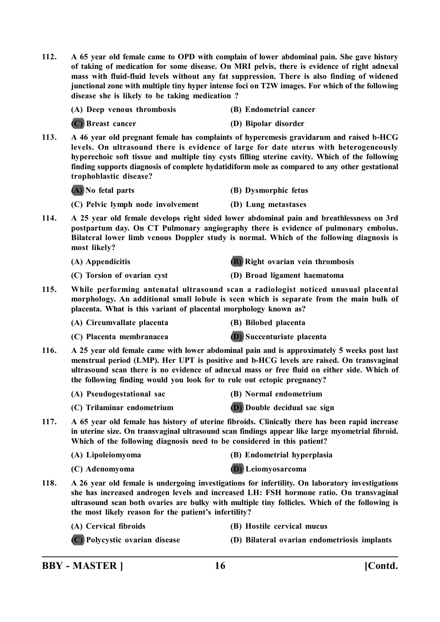**112. A 65 year old female came to OPD with complain of lower abdominal pain. She gave history of taking of medication for some disease. On MRI pelvis, there is evidence of right adnexal mass with fluid-fluid levels without any fat suppression. There is also finding of widened junctional zone with multiple tiny hyper intense foci on T2W images. For which of the following disease she is likely to be taking medication ?**

| (A) Deep venous thrombosis |  | (B) Endometrial cancer |  |
|----------------------------|--|------------------------|--|
|                            |  |                        |  |

**(C) Breast cancer (D) Bipolar disorder**

**113. A 46 year old pregnant female has complaints of hyperemesis gravidarum and raised b-HCG levels. On ultrasound there is evidence of large for date uterus with heterogeneously hyperechoic soft tissue and multiple tiny cysts filling uterine cavity. Which of the following finding supports diagnosis of complete hydatidiform mole as compared to any other gestational trophoblastic disease?**

**(A) No fetal parts (B) Dysmorphic fetus**

**(C) Pelvic lymph node involvement (D) Lung metastases**

**114. A 25 year old female develops right sided lower abdominal pain and breathlessness on 3rd postpartum day. On CT Pulmonary angiography there is evidence of pulmonary embolus. Bilateral lower limb venous Doppler study is normal. Which of the following diagnosis is most likely?**

- **(A) Appendicitis (B) Right ovarian vein thrombosis**
- **(C) Torsion of ovarian cyst (D) Broad ligament haematoma**
	-
- **115. While performing antenatal ultrasound scan a radiologist noticed unusual placental morphology. An additional small lobule is seen which is separate from the main bulk of placenta. What is this variant of placental morphology known as?**

**(A) Circumvallate placenta (B) Bilobed placenta**

- **(C) Placenta membranacea (D) Succenturiate placenta**
- 
- **116. A 25 year old female came with lower abdominal pain and is approximately 5 weeks post last menstrual period (LMP). Her UPT is positive and b-HCG levels are raised. On transvaginal ultrasound scan there is no evidence of adnexal mass or free fluid on either side. Which of the following finding would you look for to rule out ectopic pregnancy?**
	- **(A) Pseudogestational sac (B) Normal endometrium**
	- **(C) Trilaminar endometrium (D) Double decidual sac sign**
- 
- **117. A 65 year old female has history of uterine fibroids. Clinically there has been rapid increase in uterine size. On transvaginal ultrasound scan findings appear like large myometrial fibroid. Which of the following diagnosis need to be considered in this patient?**

**(A) Lipoleiomyoma (B) Endometrial hyperplasia**

**(C) Adenomyoma (D) Leiomyosarcoma**

- 
- **118. A 26 year old female is undergoing investigations for infertility. On laboratory investigations she has increased androgen levels and increased LH: FSH hormone ratio. On transvaginal ultrasound scan both ovaries are bulky with multiple tiny follicles. Which of the following is the most likely reason for the patient's infertility?**
	- **(A) Cervical fibroids (B) Hostile cervical mucus**
	- **(C) Polycystic ovarian disease (D) Bilateral ovarian endometriosis implants**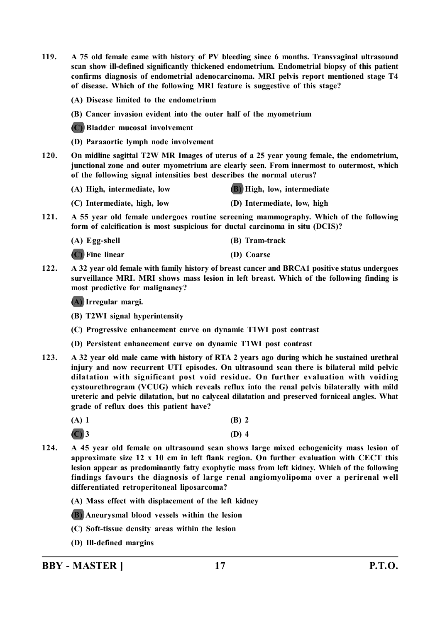**119. A 75 old female came with history of PV bleeding since 6 months. Transvaginal ultrasound scan show ill-defined significantly thickened endometrium. Endometrial biopsy of this patient confirms diagnosis of endometrial adenocarcinoma. MRI pelvis report mentioned stage T4 of disease. Which of the following MRI feature is suggestive of this stage?**

**(A) Disease limited to the endometrium**

**(B) Cancer invasion evident into the outer half of the myometrium**

**(C) Bladder mucosal involvement**

- **(D) Paraaortic lymph node involvement**
- **120. On midline sagittal T2W MR Images of uterus of a 25 year young female, the endometrium, junctional zone and outer myometrium are clearly seen. From innermost to outermost, which of the following signal intensities best describes the normal uterus?**

| (A) High, intermediate, low | <b>(B)</b> High, low, intermediate |
|-----------------------------|------------------------------------|
|                             |                                    |

- **(C) Intermediate, high, low (D) Intermediate, low, high**
- **121. A 55 year old female undergoes routine screening mammography. Which of the following form of calcification is most suspicious for ductal carcinoma in situ (DCIS)?**

| (A) Egg-shell     | (B) Tram-track |
|-------------------|----------------|
| $(C)$ Fine linear | (D) Coarse     |

**122. A 32 year old female with family history of breast cancer and BRCA1 positive status undergoes surveillance MRI. MRI shows mass lesion in left breast. Which of the following finding is most predictive for malignancy?**

**(A) Irregular margi.**

**(B) T2WI signal hyperintensity**

**(C) Progressive enhancement curve on dynamic T1WI post contrast**

**(D) Persistent enhancement curve on dynamic T1WI post contrast**

- **123. A 32 year old male came with history of RTA 2 years ago during which he sustained urethral injury and now recurrent UTI episodes. On ultrasound scan there is bilateral mild pelvic dilatation with significant post void residue. On further evaluation with voiding cystourethrogram (VCUG) which reveals reflux into the renal pelvis bilaterally with mild ureteric and pelvic dilatation, but no calyceal dilatation and preserved forniceal angles. What grade of reflux does this patient have?**
	- **(A) 1 (B) 2**
	- **(C) 3 (D) 4**
- **124. A 45 year old female on ultrasound scan shows large mixed echogenicity mass lesion of approximate size 12 x 10 cm in left flank region. On further evaluation with CECT this lesion appear as predominantly fatty exophytic mass from left kidney. Which of the following findings favours the diagnosis of large renal angiomyolipoma over a perirenal well differentiated retroperitoneal liposarcoma?**

**(A) Mass effect with displacement of the left kidney**

**(B) Aneurysmal blood vessels within the lesion**

- **(C) Soft-tissue density areas within the lesion**
- **(D) Ill-defined margins**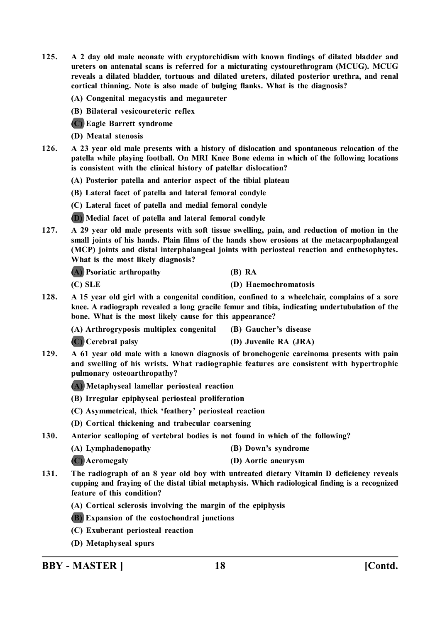- **125. A 2 day old male neonate with cryptorchidism with known findings of dilated bladder and ureters on antenatal scans is referred for a micturating cystourethrogram (MCUG). MCUG reveals a dilated bladder, tortuous and dilated ureters, dilated posterior urethra, and renal cortical thinning. Note is also made of bulging flanks. What is the diagnosis?**
	- **(A) Congenital megacystis and megaureter**
	- **(B) Bilateral vesicoureteric reflex**
	- **(C) Eagle Barrett syndrome**
	- **(D) Meatal stenosis**
- **126. A 23 year old male presents with a history of dislocation and spontaneous relocation of the patella while playing football. On MRI Knee Bone edema in which of the following locations is consistent with the clinical history of patellar dislocation?**
	- **(A) Posterior patella and anterior aspect of the tibial plateau**
	- **(B) Lateral facet of patella and lateral femoral condyle**
	- **(C) Lateral facet of patella and medial femoral condyle**
	- **(D) Medial facet of patella and lateral femoral condyle**
- **127. A 29 year old male presents with soft tissue swelling, pain, and reduction of motion in the small joints of his hands. Plain films of the hands show erosions at the metacarpophalangeal (MCP) joints and distal interphalangeal joints with periosteal reaction and enthesophytes. What is the most likely diagnosis?**

**(A) Psoriatic arthropathy (B) RA**

**(C) SLE (D) Haemochromatosis**

**128. A 15 year old girl with a congenital condition, confined to a wheelchair, complains of a sore knee. A radiograph revealed a long gracile femur and tibia, indicating undertubulation of the bone. What is the most likely cause for this appearance?**

**(A) Arthrogryposis multiplex congenital (B) Gaucher's disease**

**(C) Cerebral palsy (D) Juvenile RA (JRA)**

- **129. A 61 year old male with a known diagnosis of bronchogenic carcinoma presents with pain and swelling of his wrists. What radiographic features are consistent with hypertrophic pulmonary osteoarthropathy?**
	- **(A) Metaphyseal lamellar periosteal reaction**
	- **(B) Irregular epiphyseal periosteal proliferation**
	- **(C) Asymmetrical, thick 'feathery' periosteal reaction**
	- **(D) Cortical thickening and trabecular coarsening**
- **130. Anterior scalloping of vertebral bodies is not found in which of the following?**
	- **(A) Lymphadenopathy (B) Down's syndrome**

| (C) Acromegaly | (D) Aortic aneurysm |
|----------------|---------------------|
|----------------|---------------------|

- **131. The radiograph of an 8 year old boy with untreated dietary Vitamin D deficiency reveals cupping and fraying of the distal tibial metaphysis. Which radiological finding is a recognized feature of this condition?**
	- **(A) Cortical sclerosis involving the margin of the epiphysis**
	- **(B) Expansion of the costochondral junctions**
	- **(C) Exuberant periosteal reaction**
	- **(D) Metaphyseal spurs**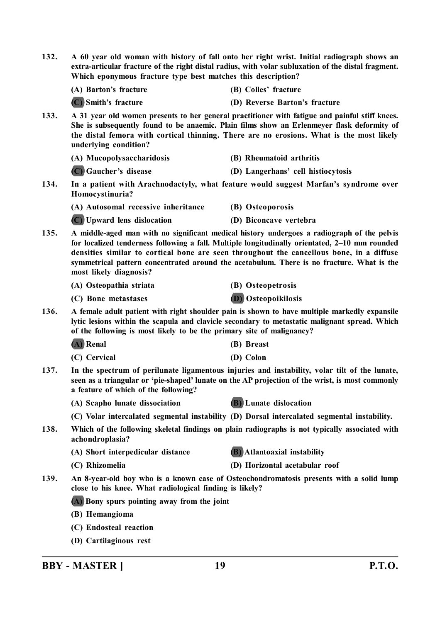| 132.                                                                                                                      | A 60 year old woman with history of fall onto her right wrist. Initial radiograph shows an<br>extra-articular fracture of the right distal radius, with volar subluxation of the distal fragment.<br>Which eponymous fracture type best matches this description?                                                                                                                                               |                                                                                                                                                                                               |  |
|---------------------------------------------------------------------------------------------------------------------------|-----------------------------------------------------------------------------------------------------------------------------------------------------------------------------------------------------------------------------------------------------------------------------------------------------------------------------------------------------------------------------------------------------------------|-----------------------------------------------------------------------------------------------------------------------------------------------------------------------------------------------|--|
|                                                                                                                           | (A) Barton's fracture                                                                                                                                                                                                                                                                                                                                                                                           | (B) Colles' fracture                                                                                                                                                                          |  |
|                                                                                                                           | (C) Smith's fracture                                                                                                                                                                                                                                                                                                                                                                                            | (D) Reverse Barton's fracture                                                                                                                                                                 |  |
| 133.                                                                                                                      | A 31 year old women presents to her general practitioner with fatigue and painful stiff knees.<br>She is subsequently found to be anaemic. Plain films show an Erlenmeyer flask deformity of<br>the distal femora with cortical thinning. There are no erosions. What is the most likely<br>underlying condition?                                                                                               |                                                                                                                                                                                               |  |
|                                                                                                                           | (A) Mucopolysaccharidosis                                                                                                                                                                                                                                                                                                                                                                                       | (B) Rheumatoid arthritis                                                                                                                                                                      |  |
|                                                                                                                           | (C) Gaucher's disease                                                                                                                                                                                                                                                                                                                                                                                           | (D) Langerhans' cell histiocytosis                                                                                                                                                            |  |
| 134.                                                                                                                      | In a patient with Arachnodactyly, what feature would suggest Marfan's syndrome over<br>Homocystinuria?                                                                                                                                                                                                                                                                                                          |                                                                                                                                                                                               |  |
|                                                                                                                           | (A) Autosomal recessive inheritance                                                                                                                                                                                                                                                                                                                                                                             | (B) Osteoporosis                                                                                                                                                                              |  |
|                                                                                                                           | (C) Upward lens dislocation                                                                                                                                                                                                                                                                                                                                                                                     | (D) Biconcave vertebra                                                                                                                                                                        |  |
| 135.                                                                                                                      | A middle-aged man with no significant medical history undergoes a radiograph of the pelvis<br>for localized tenderness following a fall. Multiple longitudinally orientated, 2-10 mm rounded<br>densities similar to cortical bone are seen throughout the cancellous bone, in a diffuse<br>symmetrical pattern concentrated around the acetabulum. There is no fracture. What is the<br>most likely diagnosis? |                                                                                                                                                                                               |  |
|                                                                                                                           | (A) Osteopathia striata                                                                                                                                                                                                                                                                                                                                                                                         | (B) Osteopetrosis                                                                                                                                                                             |  |
|                                                                                                                           | (C) Bone metastases                                                                                                                                                                                                                                                                                                                                                                                             | <b>D</b> ) Osteopoikilosis                                                                                                                                                                    |  |
| 136.<br>of the following is most likely to be the primary site of malignancy?                                             |                                                                                                                                                                                                                                                                                                                                                                                                                 | A female adult patient with right shoulder pain is shown to have multiple markedly expansile<br>lytic lesions within the scapula and clavicle secondary to metastatic malignant spread. Which |  |
|                                                                                                                           | (A) Renal                                                                                                                                                                                                                                                                                                                                                                                                       | (B) Breast                                                                                                                                                                                    |  |
|                                                                                                                           | (C) Cervical                                                                                                                                                                                                                                                                                                                                                                                                    | (D) Colon                                                                                                                                                                                     |  |
| 137.                                                                                                                      | In the spectrum of perilunate ligamentous injuries and instability, volar tilt of the lunate,<br>seen as a triangular or 'pie-shaped' lunate on the AP projection of the wrist, is most commonly<br>a feature of which of the following?                                                                                                                                                                        |                                                                                                                                                                                               |  |
|                                                                                                                           | (A) Scapho lunate dissociation                                                                                                                                                                                                                                                                                                                                                                                  | <b>(B)</b> Lunate dislocation                                                                                                                                                                 |  |
|                                                                                                                           |                                                                                                                                                                                                                                                                                                                                                                                                                 | (C) Volar intercalated segmental instability (D) Dorsal intercalated segmental instability.                                                                                                   |  |
| Which of the following skeletal findings on plain radiographs is not typically associated with<br>138.<br>achondroplasia? |                                                                                                                                                                                                                                                                                                                                                                                                                 |                                                                                                                                                                                               |  |
|                                                                                                                           | (A) Short interpedicular distance                                                                                                                                                                                                                                                                                                                                                                               | <b>(B)</b> Atlantoaxial instability                                                                                                                                                           |  |
|                                                                                                                           | (C) Rhizomelia                                                                                                                                                                                                                                                                                                                                                                                                  | (D) Horizontal acetabular roof                                                                                                                                                                |  |
| 139.                                                                                                                      | An 8-year-old boy who is a known case of Osteochondromatosis presents with a solid lump<br>close to his knee. What radiological finding is likely?                                                                                                                                                                                                                                                              |                                                                                                                                                                                               |  |
|                                                                                                                           | (A) Bony spurs pointing away from the joint                                                                                                                                                                                                                                                                                                                                                                     |                                                                                                                                                                                               |  |
|                                                                                                                           | (B) Hemangioma                                                                                                                                                                                                                                                                                                                                                                                                  |                                                                                                                                                                                               |  |
|                                                                                                                           | (C) Endosteal reaction                                                                                                                                                                                                                                                                                                                                                                                          |                                                                                                                                                                                               |  |
|                                                                                                                           | (D) Cartilaginous rest                                                                                                                                                                                                                                                                                                                                                                                          |                                                                                                                                                                                               |  |

**BBY - MASTER ] 19 P.T.O.**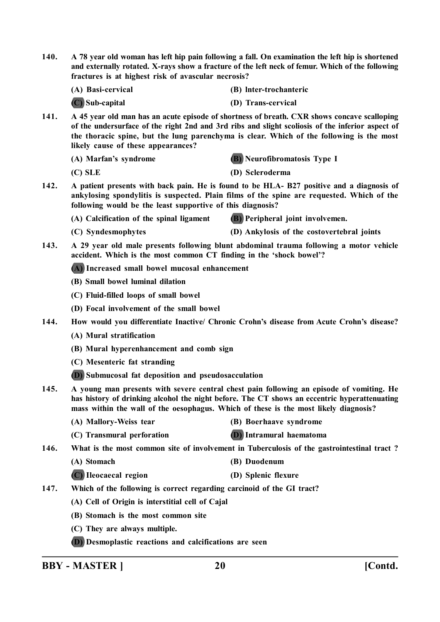**140. A 78 year old woman has left hip pain following a fall. On examination the left hip is shortened and externally rotated. X-rays show a fracture of the left neck of femur. Which of the following fractures is at highest risk of avascular necrosis?**

**(A) Basi-cervical (B) lnter-trochanteric**

**(C) Sub-capital (D) Trans-cervical**

**141. A 45 year old man has an acute episode of shortness of breath. CXR shows concave scalloping of the undersurface of the right 2nd and 3rd ribs and slight scoliosis of the inferior aspect of the thoracic spine, but the lung parenchyma is clear. Which of the following is the most likely cause of these appearances?**

**(A) Marfan's syndrome (B) Neurofibromatosis Type I**

- **(C) SLE (D) Scleroderma**
- **142. A patient presents with back pain. He is found to be HLA- B27 positive and a diagnosis of ankylosing spondylitis is suspected. Plain films of the spine are requested. Which of the following would be the least supportive of this diagnosis?**
	- **(A) Calcification of the spinal ligament (B) Peripheral joint involvemen.**
	-
	- **(C) Syndesmophytes (D) Ankylosis of the costovertebral joints**
- **143. A 29 year old male presents following blunt abdominal trauma following a motor vehicle accident. Which is the most common CT finding in the 'shock bowel'?**

**(A) Increased small bowel mucosal enhancement**

- **(B) Small bowel luminal dilation**
- **(C) Fluid-filled loops of small bowel**
- **(D) Focal involvement of the small bowel**
- **144. How would you differentiate Inactive/ Chronic Crohn's disease from Acute Crohn's disease?**
	- **(A) Mural stratification**
	- **(B) Mural hyperenhancement and comb sign**
	- **(C) Mesenteric fat stranding**
	- **(D) Submucosal fat deposition and pseudosacculation**
- **145. A young man presents with severe central chest pain following an episode of vomiting. He has history of drinking alcohol the night before. The CT shows an eccentric hyperattenuating mass within the wall of the oesophagus. Which of these is the most likely diagnosis?**
	- **(A) Mallory-Weiss tear (B) Boerhaave syndrome**
	- **(C) Transmural perforation (D) Intramural haematoma**

**146. What is the most common site of involvement in Tuberculosis of the gastrointestinal tract ?**

- **(A) Stomach (B) Duodenum**
- **(C) Ileocaecal region (D) Splenic flexure**

**147. Which of the following is correct regarding carcinoid of the GI tract?**

- **(A) Cell of Origin is interstitial cell of Cajal**
- **(B) Stomach is the most common site**
- **(C) They are always multiple.**
- **(D) Desmoplastic reactions and calcifications are seen**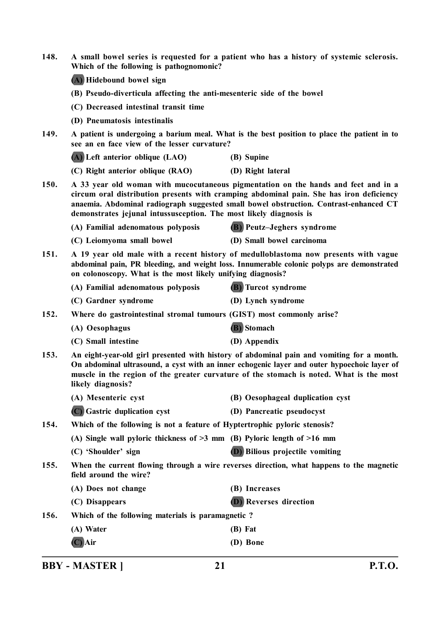| 148. | A small bowel series is requested for a patient who has a history of systemic sclerosis.<br>Which of the following is pathognomonic?<br>(A) Hidebound bowel sign                                                                                                                                                                             |                                                                                          |
|------|----------------------------------------------------------------------------------------------------------------------------------------------------------------------------------------------------------------------------------------------------------------------------------------------------------------------------------------------|------------------------------------------------------------------------------------------|
|      |                                                                                                                                                                                                                                                                                                                                              |                                                                                          |
|      | (B) Pseudo-diverticula affecting the anti-mesenteric side of the bowel                                                                                                                                                                                                                                                                       |                                                                                          |
|      | (C) Decreased intestinal transit time                                                                                                                                                                                                                                                                                                        |                                                                                          |
|      | (D) Pneumatosis intestinalis                                                                                                                                                                                                                                                                                                                 |                                                                                          |
| 149. | A patient is undergoing a barium meal. What is the best position to place the patient in to<br>see an en face view of the lesser curvature?                                                                                                                                                                                                  |                                                                                          |
|      | (A) Left anterior oblique (LAO)                                                                                                                                                                                                                                                                                                              | (B) Supine                                                                               |
|      | (C) Right anterior oblique (RAO)                                                                                                                                                                                                                                                                                                             | (D) Right lateral                                                                        |
| 150. | A 33 year old woman with mucocutaneous pigmentation on the hands and feet and in a<br>circum oral distribution presents with cramping abdominal pain. She has iron deficiency<br>anaemia. Abdominal radiograph suggested small bowel obstruction. Contrast-enhanced CT<br>demonstrates jejunal intussusception. The most likely diagnosis is |                                                                                          |
|      | (A) Familial adenomatous polyposis                                                                                                                                                                                                                                                                                                           | (B) Peutz-Jeghers syndrome                                                               |
|      | (C) Leiomyoma small bowel                                                                                                                                                                                                                                                                                                                    | (D) Small bowel carcinoma                                                                |
| 151. | A 19 year old male with a recent history of medulloblastoma now presents with vague<br>abdominal pain, PR bleeding, and weight loss. Innumerable colonic polyps are demonstrated<br>on colonoscopy. What is the most likely unifying diagnosis?                                                                                              |                                                                                          |
|      | (A) Familial adenomatous polyposis                                                                                                                                                                                                                                                                                                           | <b>(B)</b> Turcot syndrome                                                               |
|      | (C) Gardner syndrome                                                                                                                                                                                                                                                                                                                         | (D) Lynch syndrome                                                                       |
| 152. | Where do gastrointestinal stromal tumours (GIST) most commonly arise?                                                                                                                                                                                                                                                                        |                                                                                          |
|      | (A) Oesophagus                                                                                                                                                                                                                                                                                                                               | (B) Stomach                                                                              |
|      | (C) Small intestine                                                                                                                                                                                                                                                                                                                          | (D) Appendix                                                                             |
| 153. | An eight-year-old girl presented with history of abdominal pain and vomiting for a month.<br>On abdominal ultrasound, a cyst with an inner echogenic layer and outer hypoechoic layer of<br>muscle in the region of the greater curvature of the stomach is noted. What is the most<br>likely diagnosis?                                     |                                                                                          |
|      | (A) Mesenteric cyst                                                                                                                                                                                                                                                                                                                          | (B) Oesophageal duplication cyst                                                         |
|      | (C) Gastric duplication cyst                                                                                                                                                                                                                                                                                                                 | (D) Pancreatic pseudocyst                                                                |
| 154. | Which of the following is not a feature of Hyptertrophic pyloric stenosis?                                                                                                                                                                                                                                                                   |                                                                                          |
|      | (A) Single wall pyloric thickness of $>3$ mm (B) Pyloric length of $>16$ mm                                                                                                                                                                                                                                                                  |                                                                                          |
|      | (C) 'Shoulder' sign                                                                                                                                                                                                                                                                                                                          | <b>(D)</b> Bilious projectile vomiting                                                   |
| 155. | field around the wire?                                                                                                                                                                                                                                                                                                                       | When the current flowing through a wire reverses direction, what happens to the magnetic |
|      | (A) Does not change                                                                                                                                                                                                                                                                                                                          | (B) Increases                                                                            |
|      | (C) Disappears                                                                                                                                                                                                                                                                                                                               | <b>D</b> ) Reverses direction                                                            |
| 156. | Which of the following materials is paramagnetic?                                                                                                                                                                                                                                                                                            |                                                                                          |
|      | (A) Water                                                                                                                                                                                                                                                                                                                                    | (B) Fat                                                                                  |
|      | $(C)$ Air                                                                                                                                                                                                                                                                                                                                    | (D) Bone                                                                                 |

**BBY - MASTER ] 21 P.T.O.**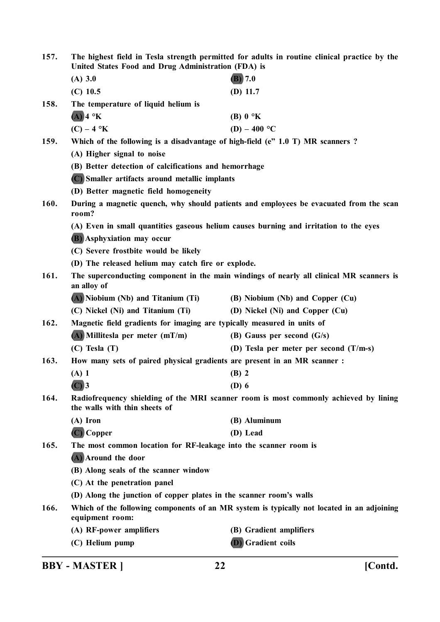| 157. | The highest field in Tesla strength permitted for adults in routine clinical practice by the<br>United States Food and Drug Administration (FDA) is |                                                                                            |
|------|-----------------------------------------------------------------------------------------------------------------------------------------------------|--------------------------------------------------------------------------------------------|
|      | $(A)$ 3.0                                                                                                                                           | $(B)$ 7.0                                                                                  |
|      | $(C)$ 10.5                                                                                                                                          | $(D)$ 11.7                                                                                 |
| 158. | The temperature of liquid helium is                                                                                                                 |                                                                                            |
|      | $(A)$ 4 °K                                                                                                                                          | (B) $0 \text{ }^{\circ}K$                                                                  |
|      | $(C) - 4$ °K                                                                                                                                        | (D) – 400 °C                                                                               |
| 159. | Which of the following is a disadvantage of high-field (e" 1.0 T) MR scanners ?                                                                     |                                                                                            |
|      | (A) Higher signal to noise                                                                                                                          |                                                                                            |
|      | (B) Better detection of calcifications and hemorrhage                                                                                               |                                                                                            |
|      | (C) Smaller artifacts around metallic implants                                                                                                      |                                                                                            |
|      | (D) Better magnetic field homogeneity                                                                                                               |                                                                                            |
| 160. | room?                                                                                                                                               | During a magnetic quench, why should patients and employees be evacuated from the scan     |
|      | (A) Even in small quantities gaseous helium causes burning and irritation to the eyes                                                               |                                                                                            |
|      | <b>(B)</b> Asphyxiation may occur                                                                                                                   |                                                                                            |
|      | (C) Severe frostbite would be likely                                                                                                                |                                                                                            |
|      | (D) The released helium may catch fire or explode.                                                                                                  |                                                                                            |
| 161. | an alloy of                                                                                                                                         | The superconducting component in the main windings of nearly all clinical MR scanners is   |
|      | (A) Niobium (Nb) and Titanium (Ti)                                                                                                                  | (B) Niobium (Nb) and Copper (Cu)                                                           |
|      | (C) Nickel (Ni) and Titanium (Ti)                                                                                                                   | (D) Nickel (Ni) and Copper (Cu)                                                            |
| 162. | Magnetic field gradients for imaging are typically measured in units of                                                                             |                                                                                            |
|      | $(A)$ Millitesla per meter $(mT/m)$                                                                                                                 | (B) Gauss per second $(G/s)$                                                               |
|      | $(C)$ Tesla $(T)$                                                                                                                                   | (D) Tesla per meter per second $(T/m-s)$                                                   |
| 163. | How many sets of paired physical gradients are present in an MR scanner :                                                                           |                                                                                            |
|      | $(A)$ 1                                                                                                                                             | $(B)$ 2                                                                                    |
|      | $(C)$ 3                                                                                                                                             | $(D)$ 6                                                                                    |
| 164. | Radiofrequency shielding of the MRI scanner room is most commonly achieved by lining<br>the walls with thin sheets of                               |                                                                                            |
|      | $(A)$ Iron                                                                                                                                          | (B) Aluminum                                                                               |
|      | $(C)$ Copper                                                                                                                                        | (D) Lead                                                                                   |
| 165. | The most common location for RF-leakage into the scanner room is                                                                                    |                                                                                            |
|      | (A) Around the door                                                                                                                                 |                                                                                            |
|      | (B) Along seals of the scanner window                                                                                                               |                                                                                            |
|      | (C) At the penetration panel                                                                                                                        |                                                                                            |
|      | (D) Along the junction of copper plates in the scanner room's walls                                                                                 |                                                                                            |
| 166. | equipment room:                                                                                                                                     | Which of the following components of an MR system is typically not located in an adjoining |
|      | (A) RF-power amplifiers                                                                                                                             | (B) Gradient amplifiers                                                                    |
|      | (C) Helium pump                                                                                                                                     | <b>D</b> ) Gradient coils                                                                  |

**BBY - MASTER ] 22 [Contd.**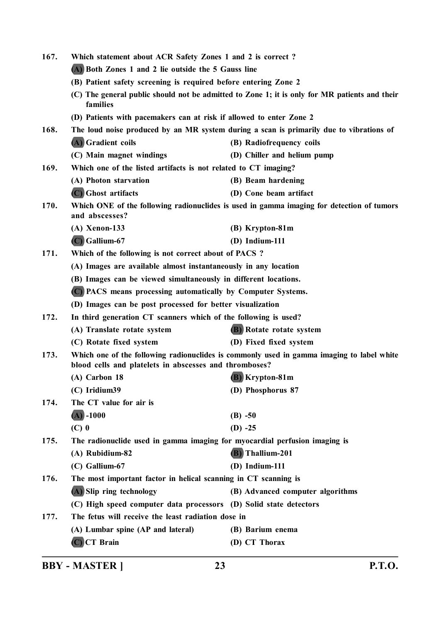| 167.                                                      | Which statement about ACR Safety Zones 1 and 2 is correct?                                                                      |                                                                                               |
|-----------------------------------------------------------|---------------------------------------------------------------------------------------------------------------------------------|-----------------------------------------------------------------------------------------------|
|                                                           | (A) Both Zones 1 and 2 lie outside the 5 Gauss line<br>(B) Patient safety screening is required before entering Zone 2          |                                                                                               |
|                                                           |                                                                                                                                 |                                                                                               |
|                                                           | families                                                                                                                        | (C) The general public should not be admitted to Zone 1; it is only for MR patients and their |
|                                                           | (D) Patients with pacemakers can at risk if allowed to enter Zone 2                                                             |                                                                                               |
| 168.                                                      |                                                                                                                                 | The loud noise produced by an MR system during a scan is primarily due to vibrations of       |
|                                                           | (A) Gradient coils                                                                                                              | (B) Radiofrequency coils                                                                      |
|                                                           | (C) Main magnet windings                                                                                                        | (D) Chiller and helium pump                                                                   |
| 169.                                                      | Which one of the listed artifacts is not related to CT imaging?                                                                 |                                                                                               |
|                                                           | (A) Photon starvation                                                                                                           | (B) Beam hardening                                                                            |
|                                                           | (C) Ghost artifacts                                                                                                             | (D) Cone beam artifact                                                                        |
| 170.                                                      | Which ONE of the following radionuclides is used in gamma imaging for detection of tumors<br>and abscesses?                     |                                                                                               |
|                                                           | $(A)$ Xenon-133                                                                                                                 | (B) Krypton-81m                                                                               |
|                                                           | $(C)$ Gallium-67                                                                                                                | $(D)$ Indium-111                                                                              |
| 171.                                                      | Which of the following is not correct about of PACS?                                                                            |                                                                                               |
|                                                           | (A) Images are available almost instantaneously in any location                                                                 |                                                                                               |
|                                                           | (B) Images can be viewed simultaneously in different locations.<br>(C) PACS means processing automatically by Computer Systems. |                                                                                               |
|                                                           |                                                                                                                                 |                                                                                               |
| (D) Images can be post processed for better visualization |                                                                                                                                 |                                                                                               |
| 172.                                                      | In third generation CT scanners which of the following is used?                                                                 |                                                                                               |
|                                                           | (A) Translate rotate system                                                                                                     | <b>B</b> ) Rotate rotate system                                                               |
|                                                           | (C) Rotate fixed system                                                                                                         | (D) Fixed fixed system                                                                        |
| 173.                                                      | blood cells and platelets in abscesses and thromboses?                                                                          | Which one of the following radionuclides is commonly used in gamma imaging to label white     |
|                                                           | (A) Carbon 18                                                                                                                   | (B) Krypton-81m                                                                               |
|                                                           | (C) Iridium39                                                                                                                   | (D) Phosphorus 87                                                                             |
| 174.                                                      | The CT value for air is                                                                                                         |                                                                                               |
|                                                           | $(A) - 1000$                                                                                                                    | $(B) -50$                                                                                     |
|                                                           | $(C)$ 0                                                                                                                         | $(D) -25$                                                                                     |
| 175.                                                      | The radionuclide used in gamma imaging for myocardial perfusion imaging is                                                      |                                                                                               |
|                                                           | (A) Rubidium-82                                                                                                                 | <b>(B)</b> Thallium-201                                                                       |
|                                                           | $(C)$ Gallium-67                                                                                                                | $(D)$ Indium-111                                                                              |
| 176.                                                      | The most important factor in helical scanning in CT scanning is                                                                 |                                                                                               |
|                                                           | (A) Slip ring technology                                                                                                        | (B) Advanced computer algorithms                                                              |
|                                                           | (C) High speed computer data processors (D) Solid state detectors                                                               |                                                                                               |
| 177.                                                      | The fetus will receive the least radiation dose in                                                                              |                                                                                               |
|                                                           | (A) Lumbar spine (AP and lateral)                                                                                               | (B) Barium enema                                                                              |
|                                                           | $(C)$ CT Brain                                                                                                                  | (D) CT Thorax                                                                                 |
|                                                           |                                                                                                                                 |                                                                                               |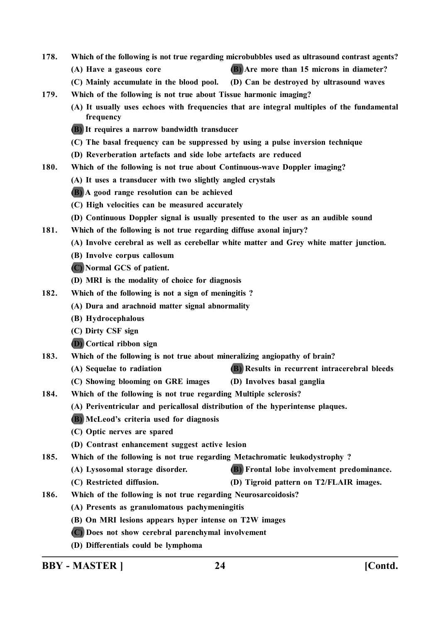- **178. Which of the following is not true regarding microbubbles used as ultrasound contrast agents?**
	- **(A) Have a gaseous core (B) Are more than 15 microns in diameter?**
	- **(C) Mainly accumulate in the blood pool. (D) Can be destroyed by ultrasound waves**
- **179. Which of the following is not true about Tissue harmonic imaging?**
	- **(A) It usually uses echoes with frequencies that are integral multiples of the fundamental frequency**
	- **(B) It requires a narrow bandwidth transducer**
	- **(C) The basal frequency can be suppressed by using a pulse inversion technique**
	- **(D) Reverberation artefacts and side lobe artefacts are reduced**
- **180. Which of the following is not true about Continuous-wave Doppler imaging?**
	- **(A) It uses a transducer with two slightly angled crystals**
	- **(B) A good range resolution can be achieved**
	- **(C) High velocities can be measured accurately**
	- **(D) Continuous Doppler signal is usually presented to the user as an audible sound**
- **181. Which of the following is not true regarding diffuse axonal injury?**
	- **(A) Involve cerebral as well as cerebellar white matter and Grey white matter junction.**
	- **(B) Involve corpus callosum**
	- **(C) Normal GCS of patient.**
	- **(D) MRI is the modality of choice for diagnosis**
- **182. Which of the following is not a sign of meningitis ?**
	- **(A) Dura and arachnoid matter signal abnormality**
	- **(B) Hydrocephalous**
	- **(C) Dirty CSF sign**
	- **(D) Cortical ribbon sign**
- **183. Which of the following is not true about mineralizing angiopathy of brain?**
	- **(A) Sequelae to radiation (B) Results in recurrent intracerebral bleeds**
	- **(C) Showing blooming on GRE images (D) Involves basal ganglia**
- **184. Which of the following is not true regarding Multiple sclerosis?**
	- **(A) Periventricular and pericallosal distribution of the hyperintense plaques.**
	- **(B) McLeod's criteria used for diagnosis**
	- **(C) Optic nerves are spared**
	- **(D) Contrast enhancement suggest active lesion**
- **185. Which of the following is not true regarding Metachromatic leukodystrophy ?**
	- **(A) Lysosomal storage disorder. (B) Frontal lobe involvement predominance.**
	- **(C) Restricted diffusion. (D) Tigroid pattern on T2/FLAIR images.**
- **186. Which of the following is not true regarding Neurosarcoidosis?**
	- **(A) Presents as granulomatous pachymeningitis**
	- **(B) On MRI lesions appears hyper intense on T2W images**
	- **(C) Does not show cerebral parenchymal involvement**
	- **(D) Differentials could be lymphoma**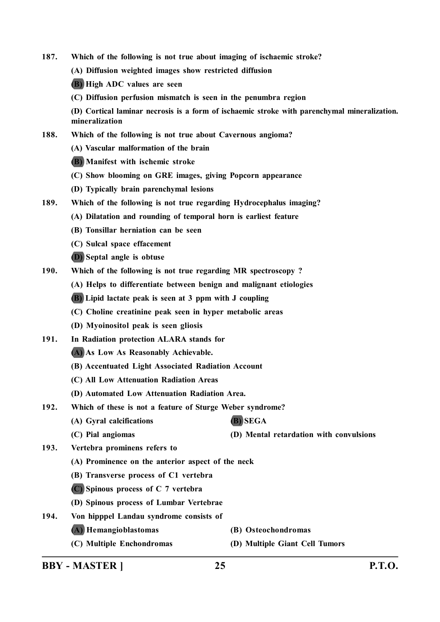- **187. Which of the following is not true about imaging of ischaemic stroke?**
	- **(A) Diffusion weighted images show restricted diffusion**

**(B) High ADC values are seen**

**(C) Diffusion perfusion mismatch is seen in the penumbra region**

**(D) Cortical laminar necrosis is a form of ischaemic stroke with parenchymal mineralization. mineralization**

- **188. Which of the following is not true about Cavernous angioma?**
	- **(A) Vascular malformation of the brain**
	- **(B) Manifest with ischemic stroke**
	- **(C) Show blooming on GRE images, giving Popcorn appearance**
	- **(D) Typically brain parenchymal lesions**
- **189. Which of the following is not true regarding Hydrocephalus imaging?**
	- **(A) Dilatation and rounding of temporal horn is earliest feature**
	- **(B) Tonsillar herniation can be seen**
	- **(C) Sulcal space effacement**
	- **(D) Septal angle is obtuse**
- **190. Which of the following is not true regarding MR spectroscopy ?**
	- **(A) Helps to differentiate between benign and malignant etiologies**
	- **(B) Lipid lactate peak is seen at 3 ppm with J coupling**
	- **(C) Choline creatinine peak seen in hyper metabolic areas**
	- **(D) Myoinositol peak is seen gliosis**
- **191. In Radiation protection ALARA stands for**
	- **(A) As Low As Reasonably Achievable.**
	- **(B) Accentuated Light Associated Radiation Account**
	- **(C) All Low Attenuation Radiation Areas**
	- **(D) Automated Low Attenuation Radiation Area.**
- **192. Which of these is not a feature of Sturge Weber syndrome?**
	- **(A) Gyral calcifications (B) SEGA**
	- **(C) Pial angiomas (D) Mental retardation with convulsions**
- **193. Vertebra prominens refers to**
	- **(A) Prominence on the anterior aspect of the neck**
	- **(B) Transverse process of C1 vertebra**
	- **(C) Spinous process of C 7 vertebra**
	- **(D) Spinous process of Lumbar Vertebrae**
- **194. Von hipppel Landau syndrome consists of**
	- **(A) Hemangioblastomas (B) Osteochondromas**
		-
- 
- **(C) Multiple Enchondromas (D) Multiple Giant Cell Tumors**

**BBY - MASTER ] 25 P.T.O.**